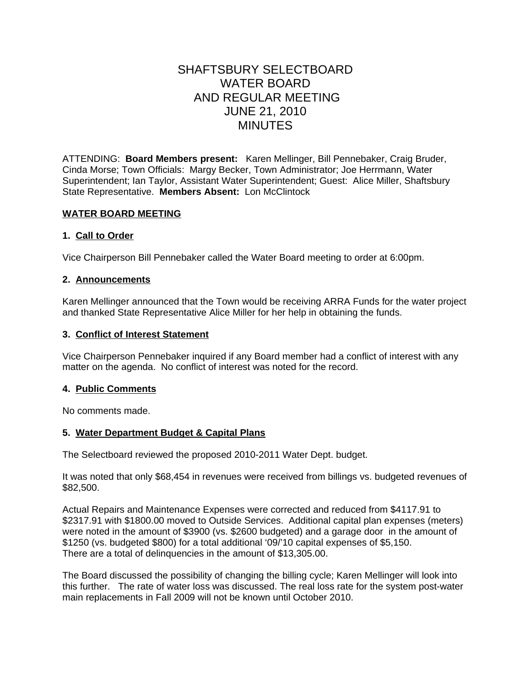# SHAFTSBURY SELECTBOARD WATER BOARD AND REGULAR MEETING JUNE 21, 2010 MINUTES

ATTENDING: **Board Members present:** Karen Mellinger, Bill Pennebaker, Craig Bruder, Cinda Morse; Town Officials: Margy Becker, Town Administrator; Joe Herrmann, Water Superintendent; Ian Taylor, Assistant Water Superintendent; Guest: Alice Miller, Shaftsbury State Representative. **Members Absent:** Lon McClintock

# **WATER BOARD MEETING**

### **1. Call to Order**

Vice Chairperson Bill Pennebaker called the Water Board meeting to order at 6:00pm.

### **2. Announcements**

Karen Mellinger announced that the Town would be receiving ARRA Funds for the water project and thanked State Representative Alice Miller for her help in obtaining the funds.

### **3. Conflict of Interest Statement**

Vice Chairperson Pennebaker inquired if any Board member had a conflict of interest with any matter on the agenda. No conflict of interest was noted for the record.

# **4. Public Comments**

No comments made.

### **5. Water Department Budget & Capital Plans**

The Selectboard reviewed the proposed 2010-2011 Water Dept. budget.

It was noted that only \$68,454 in revenues were received from billings vs. budgeted revenues of \$82,500.

Actual Repairs and Maintenance Expenses were corrected and reduced from \$4117.91 to \$2317.91 with \$1800.00 moved to Outside Services. Additional capital plan expenses (meters) were noted in the amount of \$3900 (vs. \$2600 budgeted) and a garage door in the amount of \$1250 (vs. budgeted \$800) for a total additional '09/'10 capital expenses of \$5,150. There are a total of delinquencies in the amount of \$13,305.00.

The Board discussed the possibility of changing the billing cycle; Karen Mellinger will look into this further. The rate of water loss was discussed. The real loss rate for the system post-water main replacements in Fall 2009 will not be known until October 2010.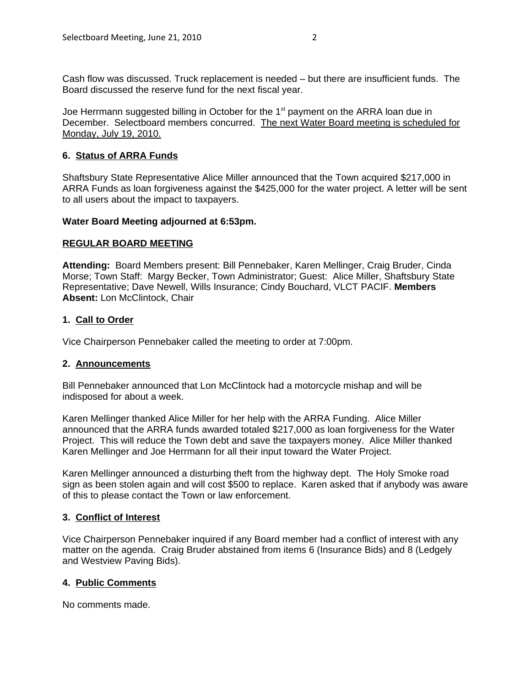Cash flow was discussed. Truck replacement is needed – but there are insufficient funds. The Board discussed the reserve fund for the next fiscal year.

Joe Herrmann suggested billing in October for the  $1<sup>st</sup>$  payment on the ARRA loan due in December. Selectboard members concurred. The next Water Board meeting is scheduled for Monday, July 19, 2010.

## **6. Status of ARRA Funds**

Shaftsbury State Representative Alice Miller announced that the Town acquired \$217,000 in ARRA Funds as loan forgiveness against the \$425,000 for the water project. A letter will be sent to all users about the impact to taxpayers.

### **Water Board Meeting adjourned at 6:53pm.**

### **REGULAR BOARD MEETING**

**Attending:** Board Members present: Bill Pennebaker, Karen Mellinger, Craig Bruder, Cinda Morse; Town Staff: Margy Becker, Town Administrator; Guest: Alice Miller, Shaftsbury State Representative; Dave Newell, Wills Insurance; Cindy Bouchard, VLCT PACIF. **Members Absent:** Lon McClintock, Chair

### **1. Call to Order**

Vice Chairperson Pennebaker called the meeting to order at 7:00pm.

# **2. Announcements**

Bill Pennebaker announced that Lon McClintock had a motorcycle mishap and will be indisposed for about a week.

Karen Mellinger thanked Alice Miller for her help with the ARRA Funding. Alice Miller announced that the ARRA funds awarded totaled \$217,000 as loan forgiveness for the Water Project. This will reduce the Town debt and save the taxpayers money. Alice Miller thanked Karen Mellinger and Joe Herrmann for all their input toward the Water Project.

Karen Mellinger announced a disturbing theft from the highway dept. The Holy Smoke road sign as been stolen again and will cost \$500 to replace. Karen asked that if anybody was aware of this to please contact the Town or law enforcement.

### **3. Conflict of Interest**

Vice Chairperson Pennebaker inquired if any Board member had a conflict of interest with any matter on the agenda. Craig Bruder abstained from items 6 (Insurance Bids) and 8 (Ledgely and Westview Paving Bids).

# **4. Public Comments**

No comments made.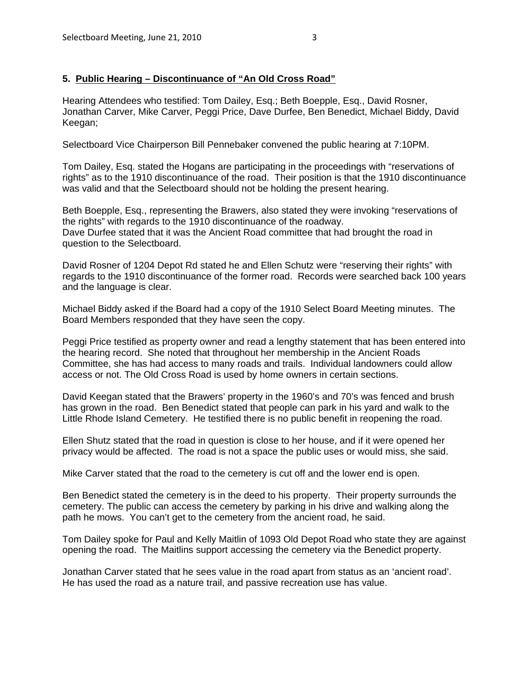# **5. Public Hearing – Discontinuance of "An Old Cross Road"**

Hearing Attendees who testified: Tom Dailey, Esq.; Beth Boepple, Esq., David Rosner, Jonathan Carver, Mike Carver, Peggi Price, Dave Durfee, Ben Benedict, Michael Biddy, David Keegan;

Selectboard Vice Chairperson Bill Pennebaker convened the public hearing at 7:10PM.

Tom Dailey, Esq. stated the Hogans are participating in the proceedings with "reservations of rights" as to the 1910 discontinuance of the road. Their position is that the 1910 discontinuance was valid and that the Selectboard should not be holding the present hearing.

Beth Boepple, Esq., representing the Brawers, also stated they were invoking "reservations of the rights" with regards to the 1910 discontinuance of the roadway. Dave Durfee stated that it was the Ancient Road committee that had brought the road in question to the Selectboard.

David Rosner of 1204 Depot Rd stated he and Ellen Schutz were "reserving their rights" with regards to the 1910 discontinuance of the former road. Records were searched back 100 years and the language is clear.

Michael Biddy asked if the Board had a copy of the 1910 Select Board Meeting minutes. The Board Members responded that they have seen the copy.

Peggi Price testified as property owner and read a lengthy statement that has been entered into the hearing record. She noted that throughout her membership in the Ancient Roads Committee, she has had access to many roads and trails. Individual landowners could allow access or not. The Old Cross Road is used by home owners in certain sections.

David Keegan stated that the Brawers' property in the 1960's and 70's was fenced and brush has grown in the road. Ben Benedict stated that people can park in his yard and walk to the Little Rhode Island Cemetery. He testified there is no public benefit in reopening the road.

Ellen Shutz stated that the road in question is close to her house, and if it were opened her privacy would be affected. The road is not a space the public uses or would miss, she said.

Mike Carver stated that the road to the cemetery is cut off and the lower end is open.

Ben Benedict stated the cemetery is in the deed to his property. Their property surrounds the cemetery. The public can access the cemetery by parking in his drive and walking along the path he mows. You can't get to the cemetery from the ancient road, he said.

Tom Dailey spoke for Paul and Kelly Maitlin of 1093 Old Depot Road who state they are against opening the road. The Maitlins support accessing the cemetery via the Benedict property.

Jonathan Carver stated that he sees value in the road apart from status as an 'ancient road'. He has used the road as a nature trail, and passive recreation use has value.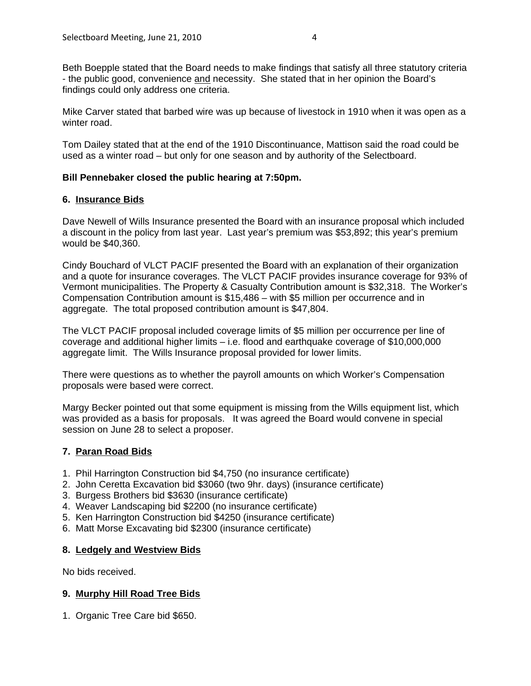Beth Boepple stated that the Board needs to make findings that satisfy all three statutory criteria - the public good, convenience and necessity. She stated that in her opinion the Board's findings could only address one criteria.

Mike Carver stated that barbed wire was up because of livestock in 1910 when it was open as a winter road.

Tom Dailey stated that at the end of the 1910 Discontinuance, Mattison said the road could be used as a winter road – but only for one season and by authority of the Selectboard.

# **Bill Pennebaker closed the public hearing at 7:50pm.**

# **6. Insurance Bids**

Dave Newell of Wills Insurance presented the Board with an insurance proposal which included a discount in the policy from last year. Last year's premium was \$53,892; this year's premium would be \$40,360.

Cindy Bouchard of VLCT PACIF presented the Board with an explanation of their organization and a quote for insurance coverages. The VLCT PACIF provides insurance coverage for 93% of Vermont municipalities. The Property & Casualty Contribution amount is \$32,318. The Worker's Compensation Contribution amount is \$15,486 – with \$5 million per occurrence and in aggregate. The total proposed contribution amount is \$47,804.

The VLCT PACIF proposal included coverage limits of \$5 million per occurrence per line of coverage and additional higher limits – i.e. flood and earthquake coverage of \$10,000,000 aggregate limit. The Wills Insurance proposal provided for lower limits.

There were questions as to whether the payroll amounts on which Worker's Compensation proposals were based were correct.

Margy Becker pointed out that some equipment is missing from the Wills equipment list, which was provided as a basis for proposals. It was agreed the Board would convene in special session on June 28 to select a proposer.

# **7. Paran Road Bids**

- 1. Phil Harrington Construction bid \$4,750 (no insurance certificate)
- 2. John Ceretta Excavation bid \$3060 (two 9hr. days) (insurance certificate)
- 3. Burgess Brothers bid \$3630 (insurance certificate)
- 4. Weaver Landscaping bid \$2200 (no insurance certificate)
- 5. Ken Harrington Construction bid \$4250 (insurance certificate)
- 6. Matt Morse Excavating bid \$2300 (insurance certificate)

# **8. Ledgely and Westview Bids**

No bids received.

# **9. Murphy Hill Road Tree Bids**

1. Organic Tree Care bid \$650.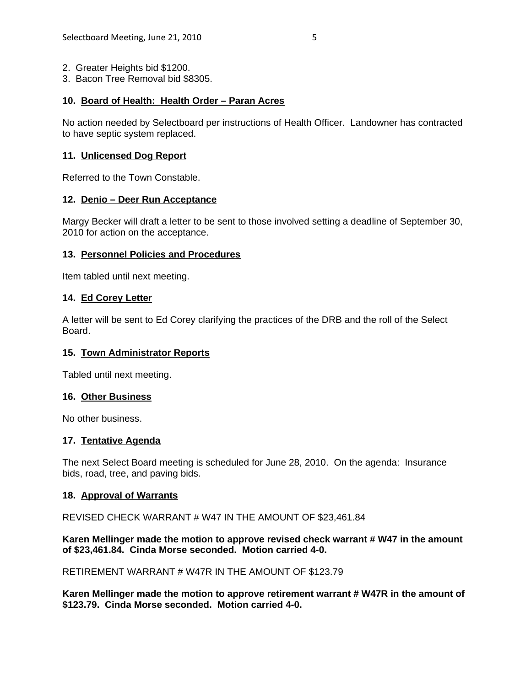- 2. Greater Heights bid \$1200.
- 3. Bacon Tree Removal bid \$8305.

## **10. Board of Health: Health Order – Paran Acres**

No action needed by Selectboard per instructions of Health Officer. Landowner has contracted to have septic system replaced.

## **11. Unlicensed Dog Report**

Referred to the Town Constable.

### **12. Denio – Deer Run Acceptance**

Margy Becker will draft a letter to be sent to those involved setting a deadline of September 30, 2010 for action on the acceptance.

### **13. Personnel Policies and Procedures**

Item tabled until next meeting.

### **14. Ed Corey Letter**

A letter will be sent to Ed Corey clarifying the practices of the DRB and the roll of the Select Board.

### **15. Town Administrator Reports**

Tabled until next meeting.

### **16. Other Business**

No other business.

# **17. Tentative Agenda**

The next Select Board meeting is scheduled for June 28, 2010. On the agenda: Insurance bids, road, tree, and paving bids.

### **18. Approval of Warrants**

REVISED CHECK WARRANT # W47 IN THE AMOUNT OF \$23,461.84

### **Karen Mellinger made the motion to approve revised check warrant # W47 in the amount of \$23,461.84. Cinda Morse seconded. Motion carried 4-0.**

RETIREMENT WARRANT # W47R IN THE AMOUNT OF \$123.79

**Karen Mellinger made the motion to approve retirement warrant # W47R in the amount of \$123.79. Cinda Morse seconded. Motion carried 4-0.**